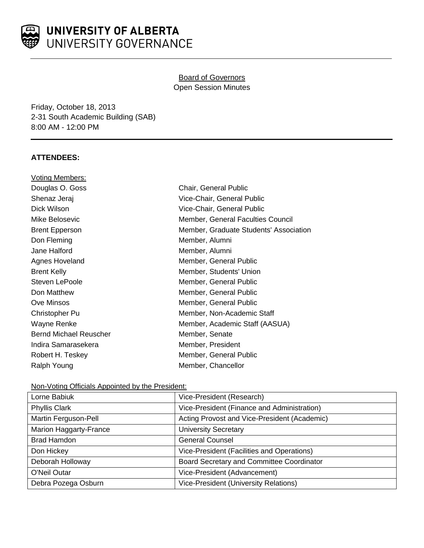

# UNIVERSITY OF ALBERTA UNIVERSITY GOVERNANCE

# Board of Governors Open Session Minutes

Friday, October 18, 2013 2-31 South Academic Building (SAB) 8:00 AM - 12:00 PM

# **ATTENDEES:**

| <b>Voting Members:</b>        |                                        |
|-------------------------------|----------------------------------------|
| Douglas O. Goss               | Chair, General Public                  |
| Shenaz Jeraj                  | Vice-Chair, General Public             |
| Dick Wilson                   | Vice-Chair, General Public             |
| Mike Belosevic                | Member, General Faculties Council      |
| <b>Brent Epperson</b>         | Member, Graduate Students' Association |
| Don Fleming                   | Member, Alumni                         |
| Jane Halford                  | Member, Alumni                         |
| Agnes Hoveland                | Member, General Public                 |
| <b>Brent Kelly</b>            | Member, Students' Union                |
| Steven LePoole                | Member, General Public                 |
| Don Matthew                   | Member, General Public                 |
| Ove Minsos                    | Member, General Public                 |
| Christopher Pu                | Member, Non-Academic Staff             |
| Wayne Renke                   | Member, Academic Staff (AASUA)         |
| <b>Bernd Michael Reuscher</b> | Member, Senate                         |
| Indira Samarasekera           | Member, President                      |
| Robert H. Teskey              | Member, General Public                 |
| Ralph Young                   | Member, Chancellor                     |
|                               |                                        |

Non-Voting Officials Appointed by the President:

| Lorne Babiuk           | Vice-President (Research)                    |
|------------------------|----------------------------------------------|
| <b>Phyllis Clark</b>   | Vice-President (Finance and Administration)  |
| Martin Ferguson-Pell   | Acting Provost and Vice-President (Academic) |
| Marion Haggarty-France | <b>University Secretary</b>                  |
| <b>Brad Hamdon</b>     | <b>General Counsel</b>                       |
| Don Hickey             | Vice-President (Facilities and Operations)   |
| Deborah Holloway       | Board Secretary and Committee Coordinator    |
| O'Neil Outar           | Vice-President (Advancement)                 |
| Debra Pozega Osburn    | <b>Vice-President (University Relations)</b> |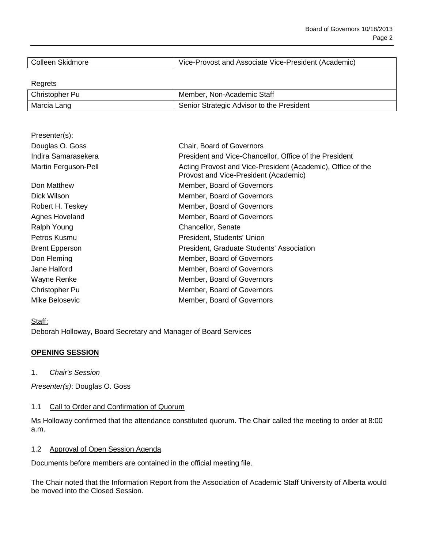| ∴olleen Skidmore ∶ | Vice-Provost and Associate Vice-President (Academic) |
|--------------------|------------------------------------------------------|
|                    |                                                      |

**Regrets** 

| <u>_____</u>   |                                                        |
|----------------|--------------------------------------------------------|
| Christopher Pu | Member, Non-Academic Staff                             |
| Marcia Lang    | <sup>1</sup> Senior Strategic Advisor to the President |

| Presenter(s):         |                                                                                                      |
|-----------------------|------------------------------------------------------------------------------------------------------|
| Douglas O. Goss       | <b>Chair, Board of Governors</b>                                                                     |
| Indira Samarasekera   | President and Vice-Chancellor, Office of the President                                               |
| Martin Ferguson-Pell  | Acting Provost and Vice-President (Academic), Office of the<br>Provost and Vice-President (Academic) |
| Don Matthew           | Member, Board of Governors                                                                           |
| Dick Wilson           | Member, Board of Governors                                                                           |
| Robert H. Teskey      | Member, Board of Governors                                                                           |
| Agnes Hoveland        | Member, Board of Governors                                                                           |
| Ralph Young           | Chancellor, Senate                                                                                   |
| Petros Kusmu          | President, Students' Union                                                                           |
| <b>Brent Epperson</b> | President, Graduate Students' Association                                                            |
| Don Fleming           | Member, Board of Governors                                                                           |
| Jane Halford          | Member, Board of Governors                                                                           |
| Wayne Renke           | Member, Board of Governors                                                                           |
| Christopher Pu        | Member, Board of Governors                                                                           |
| Mike Belosevic        | Member, Board of Governors                                                                           |

# Staff: Deborah Holloway, Board Secretary and Manager of Board Services

# **OPENING SESSION**

1. *Chair's Session*

*Presenter(s)*: Douglas O. Goss

## 1.1 Call to Order and Confirmation of Quorum

Ms Holloway confirmed that the attendance constituted quorum. The Chair called the meeting to order at 8:00 a.m.

## 1.2 Approval of Open Session Agenda

Documents before members are contained in the official meeting file.

The Chair noted that the Information Report from the Association of Academic Staff University of Alberta would be moved into the Closed Session.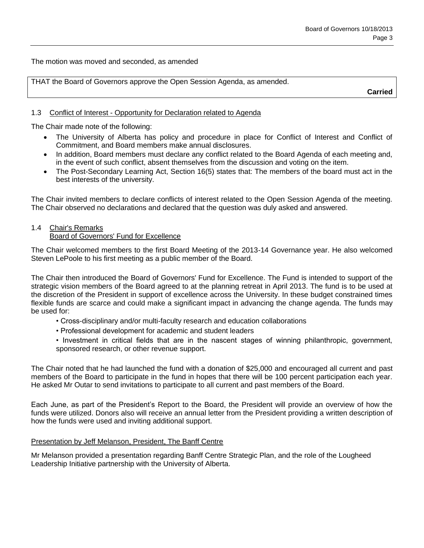The motion was moved and seconded, as amended

THAT the Board of Governors approve the Open Session Agenda, as amended.

**Carried**

## 1.3 Conflict of Interest - Opportunity for Declaration related to Agenda

The Chair made note of the following:

- The University of Alberta has policy and procedure in place for Conflict of Interest and Conflict of Commitment, and Board members make annual disclosures.
- In addition, Board members must declare any conflict related to the Board Agenda of each meeting and, in the event of such conflict, absent themselves from the discussion and voting on the item.
- The Post-Secondary Learning Act, Section 16(5) states that: The members of the board must act in the best interests of the university.

The Chair invited members to declare conflicts of interest related to the Open Session Agenda of the meeting. The Chair observed no declarations and declared that the question was duly asked and answered.

#### 1.4 Chair's Remarks Board of Governors' Fund for Excellence

The Chair welcomed members to the first Board Meeting of the 2013-14 Governance year. He also welcomed Steven LePoole to his first meeting as a public member of the Board.

The Chair then introduced the Board of Governors' Fund for Excellence. The Fund is intended to support of the strategic vision members of the Board agreed to at the planning retreat in April 2013. The fund is to be used at the discretion of the President in support of excellence across the University. In these budget constrained times flexible funds are scarce and could make a significant impact in advancing the change agenda. The funds may be used for:

- Cross-disciplinary and/or multi-faculty research and education collaborations
- Professional development for academic and student leaders
- Investment in critical fields that are in the nascent stages of winning philanthropic, government, sponsored research, or other revenue support.

The Chair noted that he had launched the fund with a donation of \$25,000 and encouraged all current and past members of the Board to participate in the fund in hopes that there will be 100 percent participation each year. He asked Mr Outar to send invitations to participate to all current and past members of the Board.

Each June, as part of the President's Report to the Board, the President will provide an overview of how the funds were utilized. Donors also will receive an annual letter from the President providing a written description of how the funds were used and inviting additional support.

#### Presentation by Jeff Melanson, President, The Banff Centre

Mr Melanson provided a presentation regarding Banff Centre Strategic Plan, and the role of the Lougheed Leadership Initiative partnership with the University of Alberta.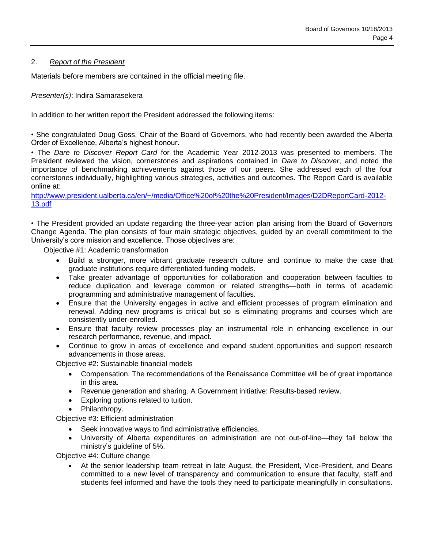## 2. *Report of the President*

Materials before members are contained in the official meeting file.

## *Presenter(s)*: Indira Samarasekera

In addition to her written report the President addressed the following items:

• She congratulated Doug Goss, Chair of the Board of Governors, who had recently been awarded the Alberta Order of Excellence, Alberta's highest honour.

• The *Dare to Discover Report Card* for the Academic Year 2012-2013 was presented to members. The President reviewed the vision, cornerstones and aspirations contained in *Dare to Discover*, and noted the importance of benchmarking achievements against those of our peers. She addressed each of the four cornerstones individually, highlighting various strategies, activities and outcomes. The Report Card is available online at:

[http://www.president.ualberta.ca/en/~/media/Office%20of%20the%20President/Images/D2DReportCard-2012-](http://www.president.ualberta.ca/en/~/media/Office%20of%20the%20President/Images/D2DReportCard-2012-13.pdf) [13.pdf](http://www.president.ualberta.ca/en/~/media/Office%20of%20the%20President/Images/D2DReportCard-2012-13.pdf)

• The President provided an update regarding the three-year action plan arising from the Board of Governors Change Agenda. The plan consists of four main strategic objectives, guided by an overall commitment to the University's core mission and excellence. Those objectives are:

Objective #1: Academic transformation

- Build a stronger, more vibrant graduate research culture and continue to make the case that graduate institutions require differentiated funding models.
- Take greater advantage of opportunities for collaboration and cooperation between faculties to reduce duplication and leverage common or related strengths—both in terms of academic programming and administrative management of faculties.
- Ensure that the University engages in active and efficient processes of program elimination and renewal. Adding new programs is critical but so is eliminating programs and courses which are consistently under-enrolled.
- Ensure that faculty review processes play an instrumental role in enhancing excellence in our research performance, revenue, and impact.
- Continue to grow in areas of excellence and expand student opportunities and support research advancements in those areas.

Objective #2: Sustainable financial models

- Compensation. The recommendations of the Renaissance Committee will be of great importance in this area.
- Revenue generation and sharing. A Government initiative: Results-based review.
- Exploring options related to tuition.
- Philanthropy.

Objective #3: Efficient administration

- Seek innovative ways to find administrative efficiencies.
- University of Alberta expenditures on administration are not out-of-line—they fall below the ministry's guideline of 5%.

Objective #4: Culture change

 At the senior leadership team retreat in late August, the President, Vice-President, and Deans committed to a new level of transparency and communication to ensure that faculty, staff and students feel informed and have the tools they need to participate meaningfully in consultations.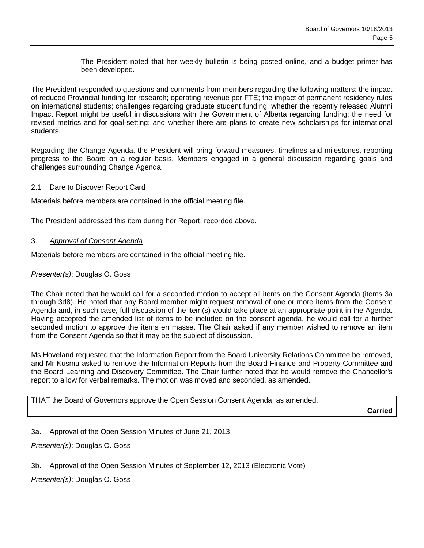The President noted that her weekly bulletin is being posted online, and a budget primer has been developed.

The President responded to questions and comments from members regarding the following matters: the impact of reduced Provincial funding for research; operating revenue per FTE; the impact of permanent residency rules on international students; challenges regarding graduate student funding; whether the recently released Alumni Impact Report might be useful in discussions with the Government of Alberta regarding funding; the need for revised metrics and for goal-setting; and whether there are plans to create new scholarships for international students.

Regarding the Change Agenda, the President will bring forward measures, timelines and milestones, reporting progress to the Board on a regular basis. Members engaged in a general discussion regarding goals and challenges surrounding Change Agenda.

#### 2.1 Dare to Discover Report Card

Materials before members are contained in the official meeting file.

The President addressed this item during her Report, recorded above.

#### 3. *Approval of Consent Agenda*

Materials before members are contained in the official meeting file.

#### *Presenter(s)*: Douglas O. Goss

The Chair noted that he would call for a seconded motion to accept all items on the Consent Agenda (items 3a through 3d8). He noted that any Board member might request removal of one or more items from the Consent Agenda and, in such case, full discussion of the item(s) would take place at an appropriate point in the Agenda. Having accepted the amended list of items to be included on the consent agenda, he would call for a further seconded motion to approve the items en masse. The Chair asked if any member wished to remove an item from the Consent Agenda so that it may be the subject of discussion.

Ms Hoveland requested that the Information Report from the Board University Relations Committee be removed, and Mr Kusmu asked to remove the Information Reports from the Board Finance and Property Committee and the Board Learning and Discovery Committee. The Chair further noted that he would remove the Chancellor's report to allow for verbal remarks. The motion was moved and seconded, as amended.

THAT the Board of Governors approve the Open Session Consent Agenda, as amended.

**Carried**

#### 3a. Approval of the Open Session Minutes of June 21, 2013

*Presenter(s)*: Douglas O. Goss

#### 3b. Approval of the Open Session Minutes of September 12, 2013 (Electronic Vote)

*Presenter(s)*: Douglas O. Goss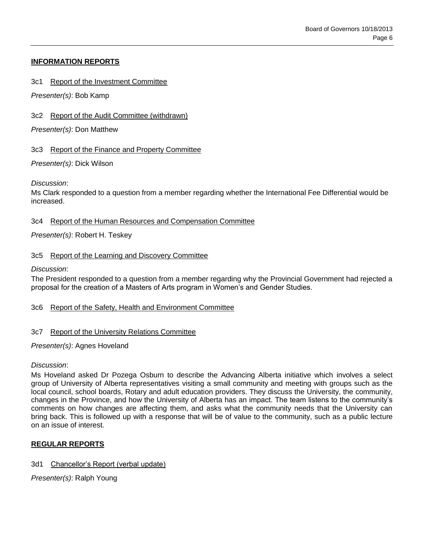## **INFORMATION REPORTS**

#### 3c1 Report of the Investment Committee

*Presenter(s)*: Bob Kamp

3c2 Report of the Audit Committee (withdrawn)

*Presenter(s)*: Don Matthew

#### 3c3 Report of the Finance and Property Committee

*Presenter(s)*: Dick Wilson

*Discussion*:

Ms Clark responded to a question from a member regarding whether the International Fee Differential would be increased.

#### 3c4 Report of the Human Resources and Compensation Committee

*Presenter(s)*: Robert H. Teskey

#### 3c5 Report of the Learning and Discovery Committee

#### *Discussion*:

The President responded to a question from a member regarding why the Provincial Government had rejected a proposal for the creation of a Masters of Arts program in Women's and Gender Studies.

#### 3c6 Report of the Safety, Health and Environment Committee

#### 3c7 Report of the University Relations Committee

#### *Presenter(s)*: Agnes Hoveland

#### *Discussion*:

Ms Hoveland asked Dr Pozega Osburn to describe the Advancing Alberta initiative which involves a select group of University of Alberta representatives visiting a small community and meeting with groups such as the local council, school boards, Rotary and adult education providers. They discuss the University, the community, changes in the Province, and how the University of Alberta has an impact. The team listens to the community's comments on how changes are affecting them, and asks what the community needs that the University can bring back. This is followed up with a response that will be of value to the community, such as a public lecture on an issue of interest.

#### **REGULAR REPORTS**

#### 3d1 Chancellor's Report (verbal update)

*Presenter(s)*: Ralph Young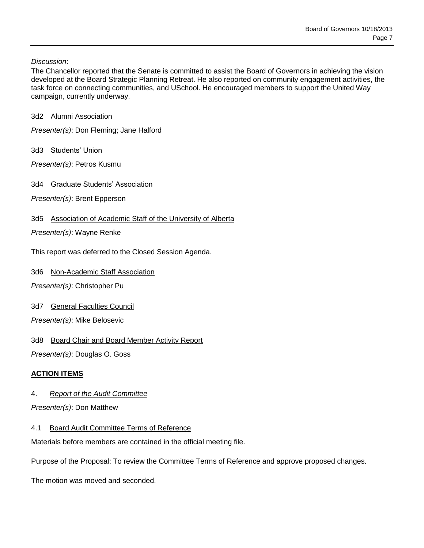*Discussion*:

The Chancellor reported that the Senate is committed to assist the Board of Governors in achieving the vision developed at the Board Strategic Planning Retreat. He also reported on community engagement activities, the task force on connecting communities, and USchool. He encouraged members to support the United Way campaign, currently underway.

3d2 Alumni Association

*Presenter(s)*: Don Fleming; Jane Halford

3d3 Students' Union

*Presenter(s)*: Petros Kusmu

3d4 Graduate Students' Association

*Presenter(s)*: Brent Epperson

3d5 Association of Academic Staff of the University of Alberta

*Presenter(s)*: Wayne Renke

This report was deferred to the Closed Session Agenda.

3d6 Non-Academic Staff Association

*Presenter(s)*: Christopher Pu

3d7 General Faculties Council

*Presenter(s)*: Mike Belosevic

3d8 Board Chair and Board Member Activity Report

*Presenter(s)*: Douglas O. Goss

## **ACTION ITEMS**

4. *Report of the Audit Committee*

*Presenter(s)*: Don Matthew

4.1 Board Audit Committee Terms of Reference

Materials before members are contained in the official meeting file.

Purpose of the Proposal: To review the Committee Terms of Reference and approve proposed changes.

The motion was moved and seconded.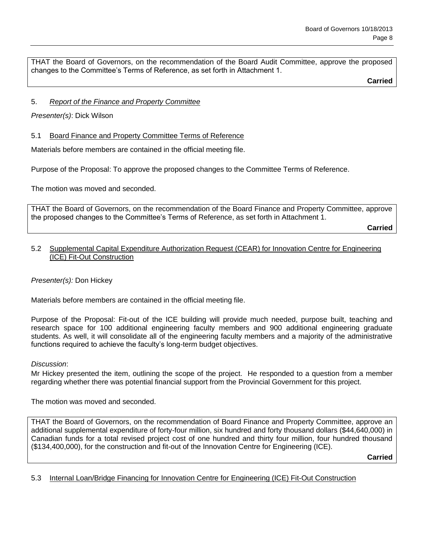THAT the Board of Governors, on the recommendation of the Board Audit Committee, approve the proposed changes to the Committee's Terms of Reference, as set forth in Attachment 1.

**Carried**

## 5. *Report of the Finance and Property Committee*

## *Presenter(s)*: Dick Wilson

5.1 Board Finance and Property Committee Terms of Reference

Materials before members are contained in the official meeting file.

Purpose of the Proposal: To approve the proposed changes to the Committee Terms of Reference.

The motion was moved and seconded.

THAT the Board of Governors, on the recommendation of the Board Finance and Property Committee, approve the proposed changes to the Committee's Terms of Reference, as set forth in Attachment 1.

**Carried**

#### 5.2 Supplemental Capital Expenditure Authorization Request (CEAR) for Innovation Centre for Engineering (ICE) Fit-Out Construction

#### *Presenter(s):* Don Hickey

Materials before members are contained in the official meeting file.

Purpose of the Proposal: Fit-out of the ICE building will provide much needed, purpose built, teaching and research space for 100 additional engineering faculty members and 900 additional engineering graduate students. As well, it will consolidate all of the engineering faculty members and a majority of the administrative functions required to achieve the faculty's long-term budget objectives.

#### *Discussion*:

Mr Hickey presented the item, outlining the scope of the project. He responded to a question from a member regarding whether there was potential financial support from the Provincial Government for this project.

The motion was moved and seconded.

THAT the Board of Governors, on the recommendation of Board Finance and Property Committee, approve an additional supplemental expenditure of forty-four million, six hundred and forty thousand dollars (\$44,640,000) in Canadian funds for a total revised project cost of one hundred and thirty four million, four hundred thousand (\$134,400,000), for the construction and fit-out of the Innovation Centre for Engineering (ICE).

**Carried**

5.3 Internal Loan/Bridge Financing for Innovation Centre for Engineering (ICE) Fit-Out Construction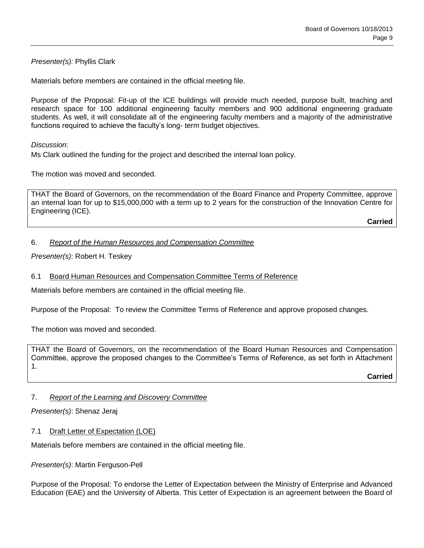*Presenter(s):* Phyllis Clark

Materials before members are contained in the official meeting file.

Purpose of the Proposal: Fit-up of the ICE buildings will provide much needed, purpose built, teaching and research space for 100 additional engineering faculty members and 900 additional engineering graduate students. As well, it will consolidate all of the engineering faculty members and a majority of the administrative functions required to achieve the faculty's long- term budget objectives.

*Discussion*:

Ms Clark outlined the funding for the project and described the internal loan policy.

The motion was moved and seconded.

THAT the Board of Governors, on the recommendation of the Board Finance and Property Committee, approve an internal loan for up to \$15,000,000 with a term up to 2 years for the construction of the Innovation Centre for Engineering (ICE).

**Carried**

#### 6. *Report of the Human Resources and Compensation Committee*

*Presenter(s)*: Robert H. Teskey

#### 6.1 Board Human Resources and Compensation Committee Terms of Reference

Materials before members are contained in the official meeting file.

Purpose of the Proposal: To review the Committee Terms of Reference and approve proposed changes.

The motion was moved and seconded.

THAT the Board of Governors, on the recommendation of the Board Human Resources and Compensation Committee, approve the proposed changes to the Committee's Terms of Reference, as set forth in Attachment 1.

**Carried**

#### 7. *Report of the Learning and Discovery Committee*

*Presenter(s)*: Shenaz Jeraj

#### 7.1 Draft Letter of Expectation (LOE)

Materials before members are contained in the official meeting file.

*Presenter(s)*: Martin Ferguson-Pell

Purpose of the Proposal: To endorse the Letter of Expectation between the Ministry of Enterprise and Advanced Education (EAE) and the University of Alberta. This Letter of Expectation is an agreement between the Board of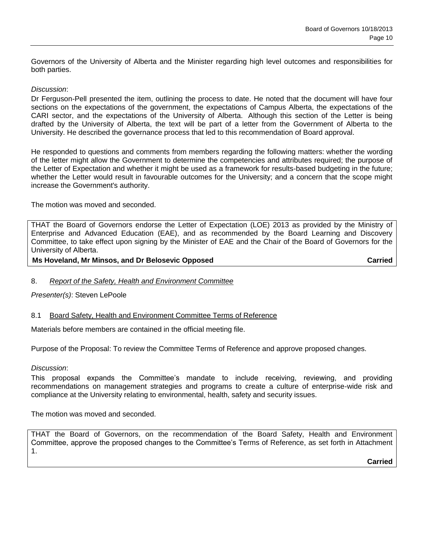Governors of the University of Alberta and the Minister regarding high level outcomes and responsibilities for both parties.

#### *Discussion*:

Dr Ferguson-Pell presented the item, outlining the process to date. He noted that the document will have four sections on the expectations of the government, the expectations of Campus Alberta, the expectations of the CARI sector, and the expectations of the University of Alberta. Although this section of the Letter is being drafted by the University of Alberta, the text will be part of a letter from the Government of Alberta to the University. He described the governance process that led to this recommendation of Board approval.

He responded to questions and comments from members regarding the following matters: whether the wording of the letter might allow the Government to determine the competencies and attributes required; the purpose of the Letter of Expectation and whether it might be used as a framework for results-based budgeting in the future; whether the Letter would result in favourable outcomes for the University; and a concern that the scope might increase the Government's authority.

The motion was moved and seconded.

THAT the Board of Governors endorse the Letter of Expectation (LOE) 2013 as provided by the Ministry of Enterprise and Advanced Education (EAE), and as recommended by the Board Learning and Discovery Committee, to take effect upon signing by the Minister of EAE and the Chair of the Board of Governors for the University of Alberta.

#### **Ms Hoveland, Mr Minsos, and Dr Belosevic Opposed Carried**

#### 8. *Report of the Safety, Health and Environment Committee*

*Presenter(s)*: Steven LePoole

#### 8.1 Board Safety, Health and Environment Committee Terms of Reference

Materials before members are contained in the official meeting file.

Purpose of the Proposal: To review the Committee Terms of Reference and approve proposed changes.

#### *Discussion*:

This proposal expands the Committee's mandate to include receiving, reviewing, and providing recommendations on management strategies and programs to create a culture of enterprise-wide risk and compliance at the University relating to environmental, health, safety and security issues.

The motion was moved and seconded.

THAT the Board of Governors, on the recommendation of the Board Safety, Health and Environment Committee, approve the proposed changes to the Committee's Terms of Reference, as set forth in Attachment 1.

**Carried**